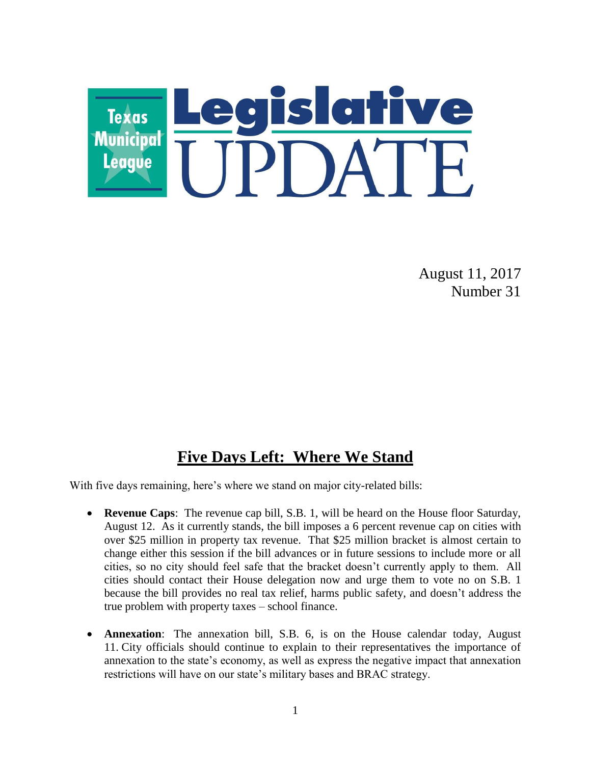

August 11, 2017 Number 31

# **Five Days Left: Where We Stand**

With five days remaining, here's where we stand on major city-related bills:

- **Revenue Caps**: The revenue cap bill, S.B. 1, will be heard on the House floor Saturday, August 12. As it currently stands, the bill imposes a 6 percent revenue cap on cities with over \$25 million in property tax revenue. That \$25 million bracket is almost certain to change either this session if the bill advances or in future sessions to include more or all cities, so no city should feel safe that the bracket doesn't currently apply to them. All cities should contact their House delegation now and urge them to vote no on S.B. 1 because the bill provides no real tax relief, harms public safety, and doesn't address the true problem with property taxes – school finance.
- **Annexation**: The annexation bill, S.B. 6, is on the House calendar today, August 11. City officials should continue to explain to their representatives the importance of annexation to the state's economy, as well as express the negative impact that annexation restrictions will have on our state's military bases and BRAC strategy.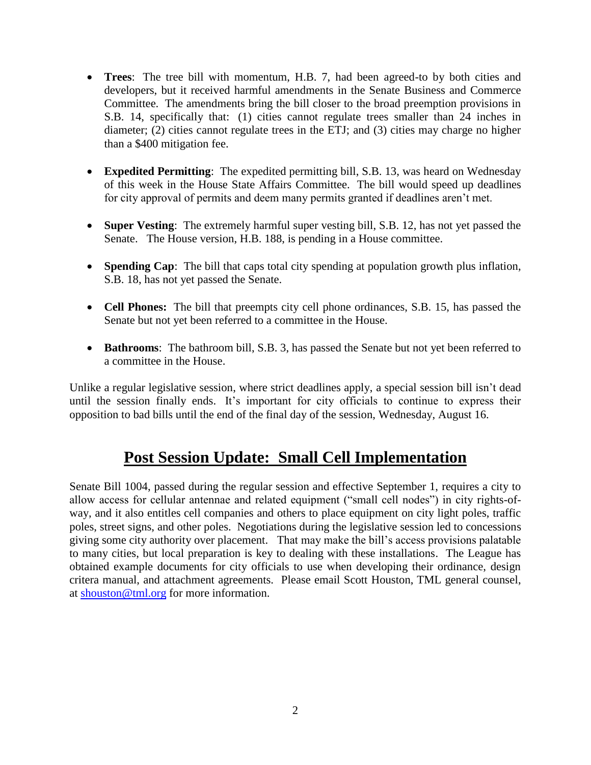- **Trees**: The tree bill with momentum, H.B. 7, had been agreed-to by both cities and developers, but it received harmful amendments in the Senate Business and Commerce Committee. The amendments bring the bill closer to the broad preemption provisions in S.B. 14, specifically that: (1) cities cannot regulate trees smaller than 24 inches in diameter; (2) cities cannot regulate trees in the ETJ; and (3) cities may charge no higher than a \$400 mitigation fee.
- **Expedited Permitting**: The expedited permitting bill, S.B. 13, was heard on Wednesday of this week in the House State Affairs Committee. The bill would speed up deadlines for city approval of permits and deem many permits granted if deadlines aren't met.
- **Super Vesting**: The extremely harmful super vesting bill, S.B. 12, has not yet passed the Senate. The House version, H.B. 188, is pending in a House committee.
- **Spending Cap**: The bill that caps total city spending at population growth plus inflation, S.B. 18, has not yet passed the Senate.
- **Cell Phones:** The bill that preempts city cell phone ordinances, S.B. 15, has passed the Senate but not yet been referred to a committee in the House.
- **Bathrooms**: The bathroom bill, S.B. 3, has passed the Senate but not yet been referred to a committee in the House.

Unlike a regular legislative session, where strict deadlines apply, a special session bill isn't dead until the session finally ends. It's important for city officials to continue to express their opposition to bad bills until the end of the final day of the session, Wednesday, August 16.

# **Post Session Update: Small Cell Implementation**

Senate Bill 1004, passed during the regular session and effective September 1, requires a city to allow access for cellular antennae and related equipment ("small cell nodes") in city rights-ofway, and it also entitles cell companies and others to place equipment on city light poles, traffic poles, street signs, and other poles. Negotiations during the legislative session led to concessions giving some city authority over placement. That may make the bill's access provisions palatable to many cities, but local preparation is key to dealing with these installations. The League has obtained example documents for city officials to use when developing their ordinance, design critera manual, and attachment agreements. Please email Scott Houston, TML general counsel, at [shouston@tml.org](mailto:shouston@tml.org) for more information.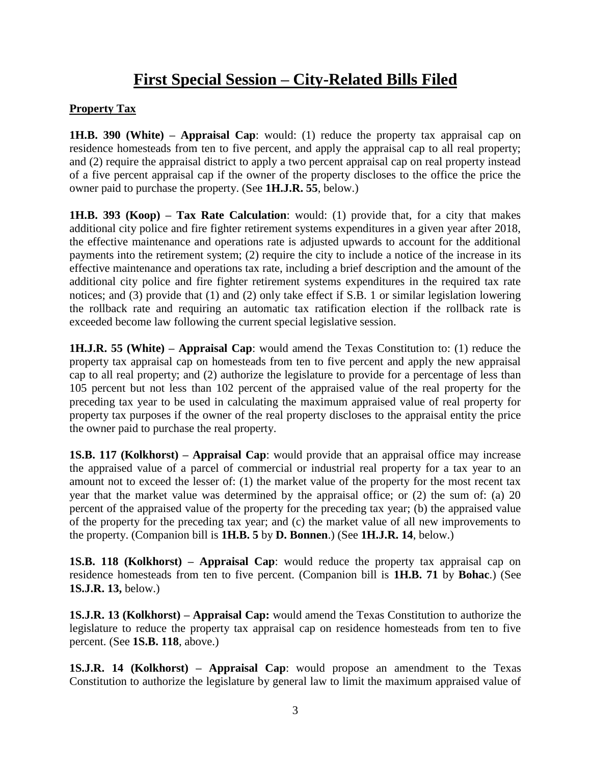# **First Special Session – City-Related Bills Filed**

### **Property Tax**

**1H.B. 390 (White) – Appraisal Cap**: would: (1) reduce the property tax appraisal cap on residence homesteads from ten to five percent, and apply the appraisal cap to all real property; and (2) require the appraisal district to apply a two percent appraisal cap on real property instead of a five percent appraisal cap if the owner of the property discloses to the office the price the owner paid to purchase the property. (See **1H.J.R. 55**, below.)

**1H.B. 393 (Koop) – Tax Rate Calculation**: would: (1) provide that, for a city that makes additional city police and fire fighter retirement systems expenditures in a given year after 2018, the effective maintenance and operations rate is adjusted upwards to account for the additional payments into the retirement system; (2) require the city to include a notice of the increase in its effective maintenance and operations tax rate, including a brief description and the amount of the additional city police and fire fighter retirement systems expenditures in the required tax rate notices; and (3) provide that (1) and (2) only take effect if S.B. 1 or similar legislation lowering the rollback rate and requiring an automatic tax ratification election if the rollback rate is exceeded become law following the current special legislative session.

**1H.J.R. 55 (White) – Appraisal Cap**: would amend the Texas Constitution to: (1) reduce the property tax appraisal cap on homesteads from ten to five percent and apply the new appraisal cap to all real property; and (2) authorize the legislature to provide for a percentage of less than 105 percent but not less than 102 percent of the appraised value of the real property for the preceding tax year to be used in calculating the maximum appraised value of real property for property tax purposes if the owner of the real property discloses to the appraisal entity the price the owner paid to purchase the real property.

**1S.B. 117 (Kolkhorst) – Appraisal Cap**: would provide that an appraisal office may increase the appraised value of a parcel of commercial or industrial real property for a tax year to an amount not to exceed the lesser of: (1) the market value of the property for the most recent tax year that the market value was determined by the appraisal office; or (2) the sum of: (a) 20 percent of the appraised value of the property for the preceding tax year; (b) the appraised value of the property for the preceding tax year; and (c) the market value of all new improvements to the property. (Companion bill is **1H.B. 5** by **D. Bonnen**.) (See **1H.J.R. 14**, below.)

**1S.B. 118 (Kolkhorst) – Appraisal Cap**: would reduce the property tax appraisal cap on residence homesteads from ten to five percent. (Companion bill is **1H.B. 71** by **Bohac**.) (See **1S.J.R. 13,** below.)

**1S.J.R. 13 (Kolkhorst) – Appraisal Cap:** would amend the Texas Constitution to authorize the legislature to reduce the property tax appraisal cap on residence homesteads from ten to five percent. (See **1S.B. 118**, above.)

**1S.J.R. 14 (Kolkhorst) – Appraisal Cap**: would propose an amendment to the Texas Constitution to authorize the legislature by general law to limit the maximum appraised value of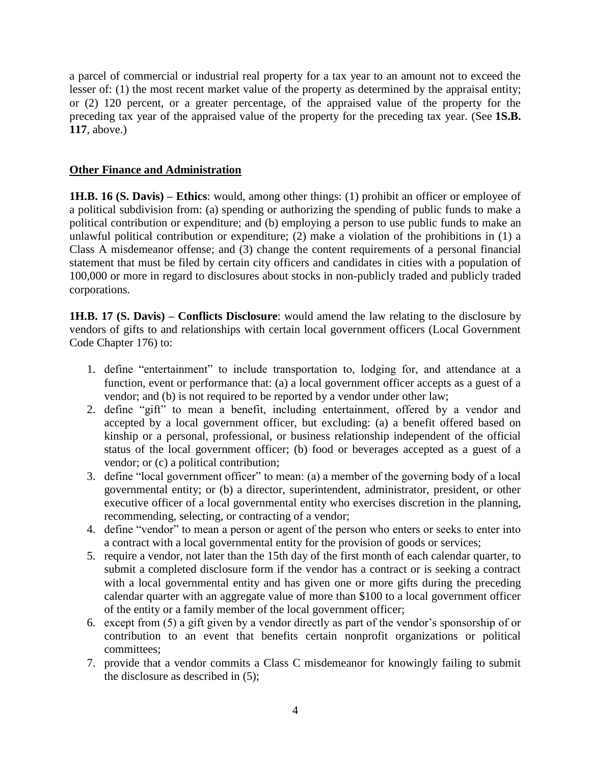a parcel of commercial or industrial real property for a tax year to an amount not to exceed the lesser of: (1) the most recent market value of the property as determined by the appraisal entity; or (2) 120 percent, or a greater percentage, of the appraised value of the property for the preceding tax year of the appraised value of the property for the preceding tax year. (See **1S.B. 117**, above.)

#### **Other Finance and Administration**

**1H.B. 16 (S. Davis) – Ethics**: would, among other things: (1) prohibit an officer or employee of a political subdivision from: (a) spending or authorizing the spending of public funds to make a political contribution or expenditure; and (b) employing a person to use public funds to make an unlawful political contribution or expenditure; (2) make a violation of the prohibitions in (1) a Class A misdemeanor offense; and (3) change the content requirements of a personal financial statement that must be filed by certain city officers and candidates in cities with a population of 100,000 or more in regard to disclosures about stocks in non-publicly traded and publicly traded corporations.

**1H.B. 17 (S. Davis) – Conflicts Disclosure**: would amend the law relating to the disclosure by vendors of gifts to and relationships with certain local government officers (Local Government Code Chapter 176) to:

- 1. define "entertainment" to include transportation to, lodging for, and attendance at a function, event or performance that: (a) a local government officer accepts as a guest of a vendor; and (b) is not required to be reported by a vendor under other law;
- 2. define "gift" to mean a benefit, including entertainment, offered by a vendor and accepted by a local government officer, but excluding: (a) a benefit offered based on kinship or a personal, professional, or business relationship independent of the official status of the local government officer; (b) food or beverages accepted as a guest of a vendor; or (c) a political contribution;
- 3. define "local government officer" to mean: (a) a member of the governing body of a local governmental entity; or (b) a director, superintendent, administrator, president, or other executive officer of a local governmental entity who exercises discretion in the planning, recommending, selecting, or contracting of a vendor;
- 4. define "vendor" to mean a person or agent of the person who enters or seeks to enter into a contract with a local governmental entity for the provision of goods or services;
- 5. require a vendor, not later than the 15th day of the first month of each calendar quarter, to submit a completed disclosure form if the vendor has a contract or is seeking a contract with a local governmental entity and has given one or more gifts during the preceding calendar quarter with an aggregate value of more than \$100 to a local government officer of the entity or a family member of the local government officer;
- 6. except from (5) a gift given by a vendor directly as part of the vendor's sponsorship of or contribution to an event that benefits certain nonprofit organizations or political committees;
- 7. provide that a vendor commits a Class C misdemeanor for knowingly failing to submit the disclosure as described in (5);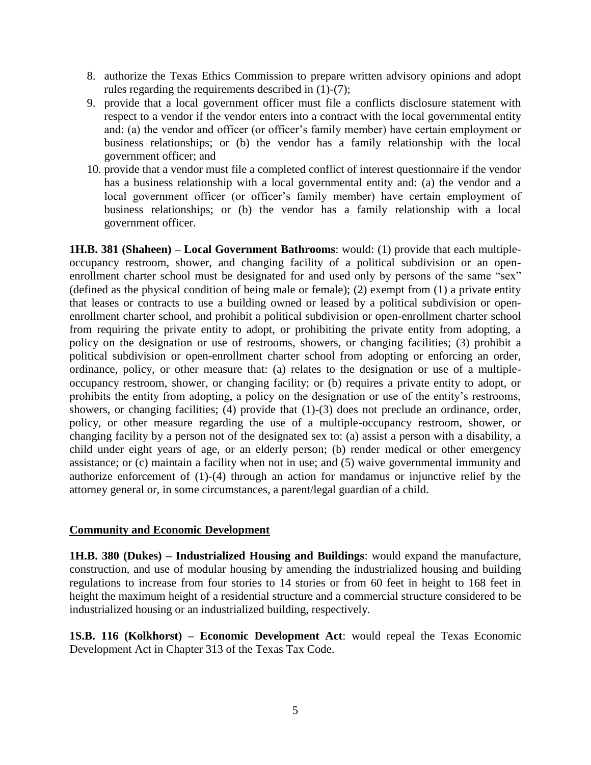- 8. authorize the Texas Ethics Commission to prepare written advisory opinions and adopt rules regarding the requirements described in (1)-(7);
- 9. provide that a local government officer must file a conflicts disclosure statement with respect to a vendor if the vendor enters into a contract with the local governmental entity and: (a) the vendor and officer (or officer's family member) have certain employment or business relationships; or (b) the vendor has a family relationship with the local government officer; and
- 10. provide that a vendor must file a completed conflict of interest questionnaire if the vendor has a business relationship with a local governmental entity and: (a) the vendor and a local government officer (or officer's family member) have certain employment of business relationships; or (b) the vendor has a family relationship with a local government officer.

**1H.B. 381 (Shaheen) – Local Government Bathrooms**: would: (1) provide that each multipleoccupancy restroom, shower, and changing facility of a political subdivision or an openenrollment charter school must be designated for and used only by persons of the same "sex" (defined as the physical condition of being male or female); (2) exempt from (1) a private entity that leases or contracts to use a building owned or leased by a political subdivision or openenrollment charter school, and prohibit a political subdivision or open-enrollment charter school from requiring the private entity to adopt, or prohibiting the private entity from adopting, a policy on the designation or use of restrooms, showers, or changing facilities; (3) prohibit a political subdivision or open-enrollment charter school from adopting or enforcing an order, ordinance, policy, or other measure that: (a) relates to the designation or use of a multipleoccupancy restroom, shower, or changing facility; or (b) requires a private entity to adopt, or prohibits the entity from adopting, a policy on the designation or use of the entity's restrooms, showers, or changing facilities; (4) provide that (1)-(3) does not preclude an ordinance, order, policy, or other measure regarding the use of a multiple-occupancy restroom, shower, or changing facility by a person not of the designated sex to: (a) assist a person with a disability, a child under eight years of age, or an elderly person; (b) render medical or other emergency assistance; or (c) maintain a facility when not in use; and (5) waive governmental immunity and authorize enforcement of (1)-(4) through an action for mandamus or injunctive relief by the attorney general or, in some circumstances, a parent/legal guardian of a child.

#### **Community and Economic Development**

**1H.B. 380 (Dukes) – Industrialized Housing and Buildings**: would expand the manufacture, construction, and use of modular housing by amending the industrialized housing and building regulations to increase from four stories to 14 stories or from 60 feet in height to 168 feet in height the maximum height of a residential structure and a commercial structure considered to be industrialized housing or an industrialized building, respectively.

**1S.B. 116 (Kolkhorst) – Economic Development Act**: would repeal the Texas Economic Development Act in Chapter 313 of the Texas Tax Code.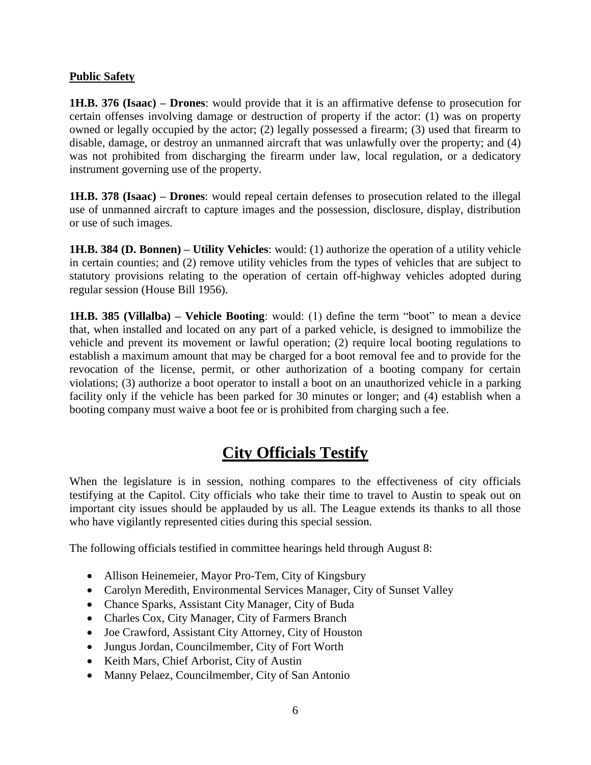#### **Public Safety**

**1H.B. 376 (Isaac) – Drones**: would provide that it is an affirmative defense to prosecution for certain offenses involving damage or destruction of property if the actor: (1) was on property owned or legally occupied by the actor; (2) legally possessed a firearm; (3) used that firearm to disable, damage, or destroy an unmanned aircraft that was unlawfully over the property; and (4) was not prohibited from discharging the firearm under law, local regulation, or a dedicatory instrument governing use of the property.

**1H.B. 378 (Isaac) – Drones**: would repeal certain defenses to prosecution related to the illegal use of unmanned aircraft to capture images and the possession, disclosure, display, distribution or use of such images.

**1H.B. 384 (D. Bonnen) – Utility Vehicles**: would: (1) authorize the operation of a utility vehicle in certain counties; and (2) remove utility vehicles from the types of vehicles that are subject to statutory provisions relating to the operation of certain off-highway vehicles adopted during regular session (House Bill 1956).

**1H.B. 385 (Villalba) – Vehicle Booting**: would: (1) define the term "boot" to mean a device that, when installed and located on any part of a parked vehicle, is designed to immobilize the vehicle and prevent its movement or lawful operation; (2) require local booting regulations to establish a maximum amount that may be charged for a boot removal fee and to provide for the revocation of the license, permit, or other authorization of a booting company for certain violations; (3) authorize a boot operator to install a boot on an unauthorized vehicle in a parking facility only if the vehicle has been parked for 30 minutes or longer; and (4) establish when a booting company must waive a boot fee or is prohibited from charging such a fee.

# **City Officials Testify**

When the legislature is in session, nothing compares to the effectiveness of city officials testifying at the Capitol. City officials who take their time to travel to Austin to speak out on important city issues should be applauded by us all. The League extends its thanks to all those who have vigilantly represented cities during this special session.

The following officials testified in committee hearings held through August 8:

- Allison Heinemeier, Mayor Pro-Tem, City of Kingsbury
- Carolyn Meredith, Environmental Services Manager, City of Sunset Valley
- Chance Sparks, Assistant City Manager, City of Buda
- Charles Cox, City Manager, City of Farmers Branch
- Joe Crawford, Assistant City Attorney, City of Houston
- Jungus Jordan, Councilmember, City of Fort Worth
- Keith Mars, Chief Arborist, City of Austin
- Manny Pelaez, Councilmember, City of San Antonio